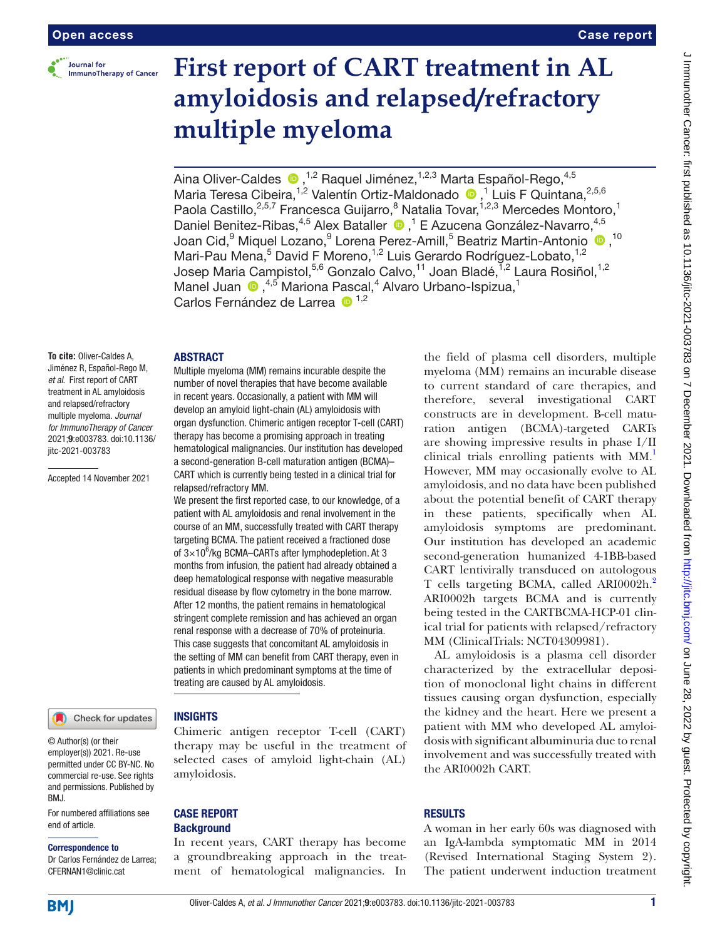

# **First report of CART treatment in AL amyloidosis and relapsed/refractory multiple myeloma**

Aina Oliver-Caldes  $\bullet$ ,<sup>1,2</sup> Raquel Jiménez,<sup>1,2,3</sup> Marta Español-Rego,<sup>4,5</sup> MariaTeresa Cibeira,<sup>1,2</sup> Valentín Ortiz-Maldonado <sup>1</sup>,<sup>1</sup> Luis F Quintana,<sup>2,5,6</sup> Paola Castillo,<sup>2,5,7</sup> Francesca Guijarro,<sup>8</sup> Natalia Tovar,<sup>1,2,3</sup> Mercedes Montoro,<sup>1</sup> DanielBenitez-Ribas,<sup>4,5</sup> Alex Bataller <sup>D</sup>,<sup>1</sup> E Azucena González-Navarro,<sup>4,5</sup> Joan Cid,<sup>9</sup> Miquel Lozano,<sup>9</sup> Lorena Perez-Amill,<sup>5</sup> Beatriz Martin-Antonio <sup>10</sup>,<sup>10</sup> Mari-Pau Mena,<sup>5</sup> David F Moreno,<sup>1,2</sup> Luis Gerardo Rodríguez-Lobato,<sup>1,2</sup> Josep Maria Campistol,<sup>5,6</sup> Gonzalo Calvo,<sup>11</sup> Joan Bladé, 1,2 Laura Rosiñol, <sup>1,2</sup> Manel Juan  $\bullet$ ,<sup>4,5</sup> Mariona Pascal,<sup>4</sup> Alvaro Urbano-Ispizua,<sup>1</sup> Carlos Fernández de Larrea <sup>1,2</sup>

## ABSTRACT

relapsed/refractory MM.

Multiple myeloma (MM) remains incurable despite the number of novel therapies that have become available in recent years. Occasionally, a patient with MM will develop an amyloid light-chain (AL) amyloidosis with organ dysfunction. Chimeric antigen receptor T-cell (CART) therapy has become a promising approach in treating hematological malignancies. Our institution has developed a second-generation B-cell maturation antigen (BCMA)– CART which is currently being tested in a clinical trial for

We present the first reported case, to our knowledge, of a patient with AL amyloidosis and renal involvement in the course of an MM, successfully treated with CART therapy targeting BCMA. The patient received a fractioned dose of  $3\times10^6$ /kg BCMA-CARTs after lymphodepletion. At 3 months from infusion, the patient had already obtained a deep hematological response with negative measurable residual disease by flow cytometry in the bone marrow. After 12 months, the patient remains in hematological stringent complete remission and has achieved an organ renal response with a decrease of 70% of proteinuria. This case suggests that concomitant AL amyloidosis in the setting of MM can benefit from CART therapy, even in patients in which predominant symptoms at the time of

**To cite:** Oliver-Caldes A, Jiménez R, Español-Rego M, *et al*. First report of CART treatment in AL amyloidosis and relapsed/refractory multiple myeloma. *Journal for ImmunoTherapy of Cancer* 2021;9:e003783. doi:10.1136/ jitc-2021-003783

Accepted 14 November 2021

## Check for updates

© Author(s) (or their employer(s)) 2021. Re-use permitted under CC BY-NC. No commercial re-use. See rights and permissions. Published by BMJ.

For numbered affiliations see end of article.

#### Correspondence to

Dr Carlos Fernández de Larrea; CFERNAN1@clinic.cat

# INSIGHTS

Chimeric antigen receptor T-cell (CART) therapy may be useful in the treatment of selected cases of amyloid light-chain (AL) amyloidosis.

treating are caused by AL amyloidosis.

# CASE REPORT **Background**

In recent years, CART therapy has become a groundbreaking approach in the treatment of hematological malignancies. In

the field of plasma cell disorders, multiple myeloma (MM) remains an incurable disease to current standard of care therapies, and therefore, several investigational CART constructs are in development. B-cell maturation antigen (BCMA)-targeted CARTs are showing impressive results in phase I/II clinical trials enrolling patients with MM.<sup>1</sup> However, MM may occasionally evolve to AL amyloidosis, and no data have been published about the potential benefit of CART therapy in these patients, specifically when AL amyloidosis symptoms are predominant. Our institution has developed an academic second-generation humanized 4-1BB-based CART lentivirally transduced on autologous T cells targeting BCMA, called ARI0002h.<sup>2</sup> ARI0002h targets BCMA and is currently being tested in the CARTBCMA-HCP-01 clinical trial for patients with relapsed/refractory MM (ClinicalTrials: NCT04309981).

AL amyloidosis is a plasma cell disorder characterized by the extracellular deposition of monoclonal light chains in different tissues causing organ dysfunction, especially the kidney and the heart. Here we present a patient with MM who developed AL amyloidosis with significant albuminuria due to renal involvement and was successfully treated with the ARI0002h CART.

## RESULTS

A woman in her early 60s was diagnosed with an IgA-lambda symptomatic MM in 2014 (Revised International Staging System 2). The patient underwent induction treatment

Case report

**BMI**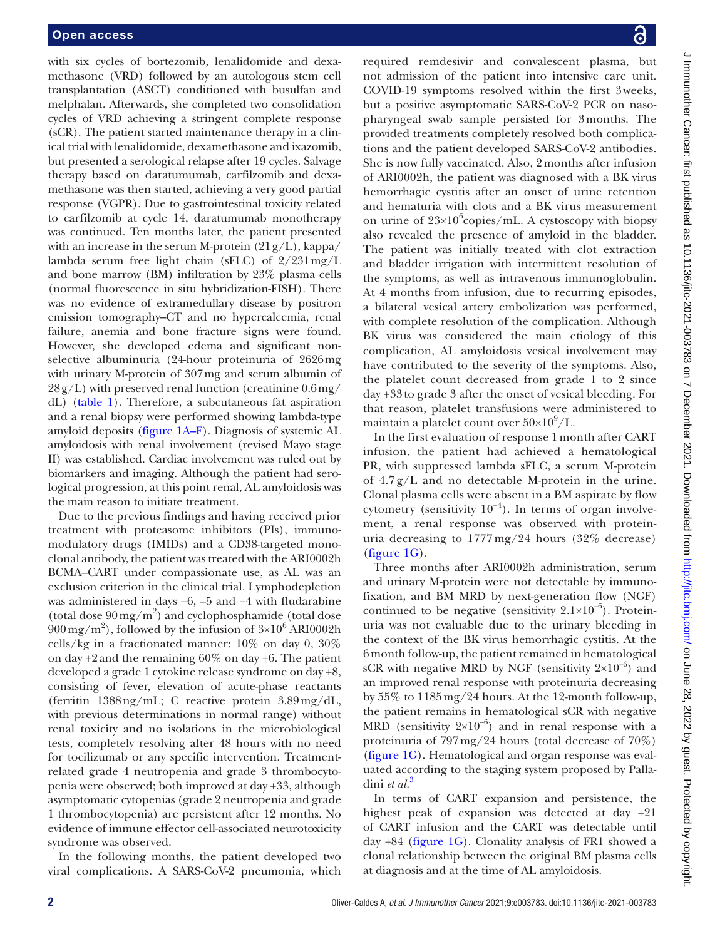with six cycles of bortezomib, lenalidomide and dexamethasone (VRD) followed by an autologous stem cell transplantation (ASCT) conditioned with busulfan and melphalan. Afterwards, she completed two consolidation cycles of VRD achieving a stringent complete response (sCR). The patient started maintenance therapy in a clinical trial with lenalidomide, dexamethasone and ixazomib, but presented a serological relapse after 19 cycles. Salvage therapy based on daratumumab, carfilzomib and dexamethasone was then started, achieving a very good partial response (VGPR). Due to gastrointestinal toxicity related to carfilzomib at cycle 14, daratumumab monotherapy was continued. Ten months later, the patient presented with an increase in the serum M-protein  $(21g/L)$ , kappa/ lambda serum free light chain (sFLC) of 2/231mg/L and bone marrow (BM) infiltration by 23% plasma cells (normal fluorescence in situ hybridization-FISH). There was no evidence of extramedullary disease by positron emission tomography–CT and no hypercalcemia, renal failure, anemia and bone fracture signs were found. However, she developed edema and significant nonselective albuminuria (24-hour proteinuria of 2626mg with urinary M-protein of 307mg and serum albumin of  $28g/L$ ) with preserved renal function (creatinine  $0.6 \,\text{mg}/$ dL) [\(table](#page-2-0) 1). Therefore, a subcutaneous fat aspiration and a renal biopsy were performed showing lambda-type amyloid deposits [\(figure](#page-3-0) 1A–F). Diagnosis of systemic AL amyloidosis with renal involvement (revised Mayo stage II) was established. Cardiac involvement was ruled out by biomarkers and imaging. Although the patient had serological progression, at this point renal, AL amyloidosis was the main reason to initiate treatment.

Due to the previous findings and having received prior treatment with proteasome inhibitors (PIs), immunomodulatory drugs (IMIDs) and a CD38-targeted monoclonal antibody, the patient was treated with the ARI0002h BCMA–CART under compassionate use, as AL was an exclusion criterion in the clinical trial. Lymphodepletion was administered in days −6, –5 and −4 with fludarabine (total dose  $90 \,\mathrm{mg/m}^2$ ) and cyclophosphamide (total dose  $900 \,\text{mg/m}^2$ ), followed by the infusion of  $3\times10^6$  ARI0002h cells/kg in a fractionated manner: 10% on day 0, 30% on day  $+2$  and the remaining  $60\%$  on day  $+6$ . The patient developed a grade 1 cytokine release syndrome on day +8, consisting of fever, elevation of acute-phase reactants (ferritin 1388ng/mL; C reactive protein 3.89mg/dL, with previous determinations in normal range) without renal toxicity and no isolations in the microbiological tests, completely resolving after 48 hours with no need for tocilizumab or any specific intervention. Treatmentrelated grade 4 neutropenia and grade 3 thrombocytopenia were observed; both improved at day +33, although asymptomatic cytopenias (grade 2 neutropenia and grade 1 thrombocytopenia) are persistent after 12 months. No evidence of immune effector cell-associated neurotoxicity syndrome was observed.

In the following months, the patient developed two viral complications. A SARS-CoV-2 pneumonia, which

required remdesivir and convalescent plasma, but not admission of the patient into intensive care unit. COVID-19 symptoms resolved within the first 3weeks, but a positive asymptomatic SARS-CoV-2 PCR on nasopharyngeal swab sample persisted for 3months. The provided treatments completely resolved both complications and the patient developed SARS-CoV-2 antibodies. She is now fully vaccinated. Also, 2months after infusion of ARI0002h, the patient was diagnosed with a BK virus hemorrhagic cystitis after an onset of urine retention and hematuria with clots and a BK virus measurement on urine of  $23 \times 10^6$ copies/mL. A cystoscopy with biopsy also revealed the presence of amyloid in the bladder. The patient was initially treated with clot extraction and bladder irrigation with intermittent resolution of the symptoms, as well as intravenous immunoglobulin. At 4 months from infusion, due to recurring episodes, a bilateral vesical artery embolization was performed, with complete resolution of the complication. Although BK virus was considered the main etiology of this complication, AL amyloidosis vesical involvement may have contributed to the severity of the symptoms. Also, the platelet count decreased from grade 1 to 2 since day +33 to grade 3 after the onset of vesical bleeding. For that reason, platelet transfusions were administered to maintain a platelet count over  $50\times10^9/L$ .

In the first evaluation of response 1 month after CART infusion, the patient had achieved a hematological PR, with suppressed lambda sFLC, a serum M-protein of 4.7 g/L and no detectable M-protein in the urine. Clonal plasma cells were absent in a BM aspirate by flow cytometry (sensitivity  $10^{-4}$ ). In terms of organ involvement, a renal response was observed with proteinuria decreasing to 1777 mg/24 hours (32% decrease) [\(figure](#page-3-0) 1G).

Three months after ARI0002h administration, serum and urinary M-protein were not detectable by immunofixation, and BM MRD by next-generation flow (NGF) continued to be negative (sensitivity  $2.1 \times 10^{-6}$ ). Proteinuria was not evaluable due to the urinary bleeding in the context of the BK virus hemorrhagic cystitis. At the 6month follow-up, the patient remained in hematological sCR with negative MRD by NGF (sensitivity  $2\times10^{-6}$ ) and an improved renal response with proteinuria decreasing by 55% to 1185mg/24 hours. At the 12-month follow-up, the patient remains in hematological sCR with negative MRD (sensitivity  $2\times10^{-6}$ ) and in renal response with a proteinuria of 797mg/24 hours (total decrease of 70%) [\(figure](#page-3-0) 1G). Hematological and organ response was evaluated according to the staging system proposed by Palladini *et al.*[3](#page-4-2)

In terms of CART expansion and persistence, the highest peak of expansion was detected at day +21 of CART infusion and the CART was detectable until day +84 ([figure](#page-3-0) 1G). Clonality analysis of FR1 showed a clonal relationship between the original BM plasma cells at diagnosis and at the time of AL amyloidosis.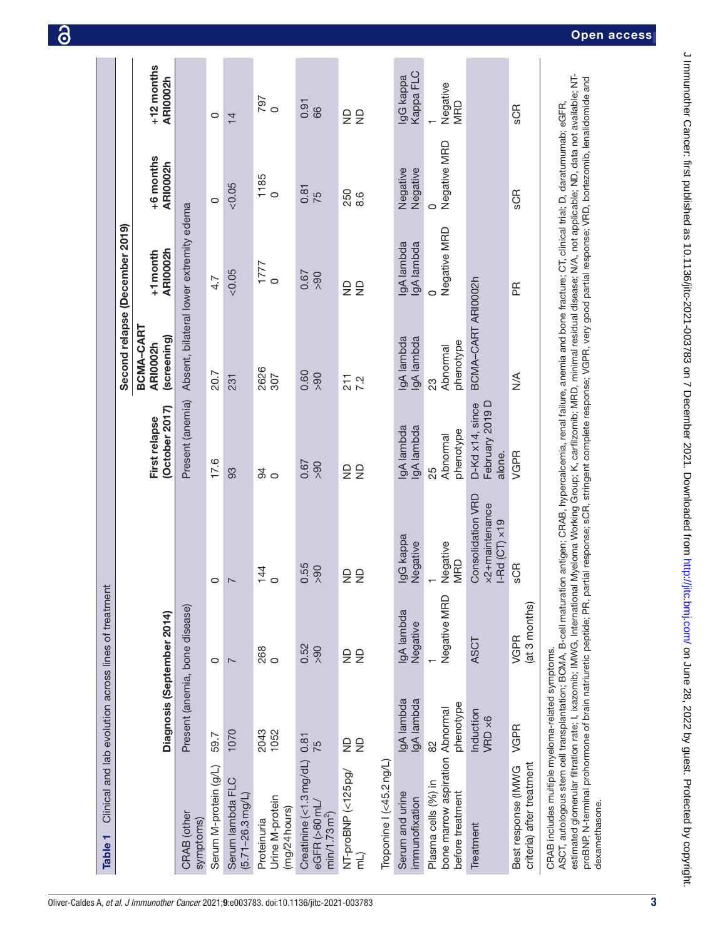| Table <sub>1</sub>                                                                                                                                                                                                                                                                                                                                                                                                                                                                                                                                                                                                                                    | Clinical and lab evolution across lines of treatment |                         |                                                                    |                                              |                                      |                                         |                         |                        |
|-------------------------------------------------------------------------------------------------------------------------------------------------------------------------------------------------------------------------------------------------------------------------------------------------------------------------------------------------------------------------------------------------------------------------------------------------------------------------------------------------------------------------------------------------------------------------------------------------------------------------------------------------------|------------------------------------------------------|-------------------------|--------------------------------------------------------------------|----------------------------------------------|--------------------------------------|-----------------------------------------|-------------------------|------------------------|
|                                                                                                                                                                                                                                                                                                                                                                                                                                                                                                                                                                                                                                                       |                                                      |                         |                                                                    |                                              | Second relapse (December 2019)       |                                         |                         |                        |
|                                                                                                                                                                                                                                                                                                                                                                                                                                                                                                                                                                                                                                                       | Diagnosis (September 2014)                           |                         |                                                                    | (October 2017)<br>First relapse              | BCMA-CART<br>(screening)<br>ARI0002h | ARI0002h<br>+1 month                    | +6 months<br>ARI0002h   | +12 months<br>ARI0002h |
| CRAB (other<br>symptoms)                                                                                                                                                                                                                                                                                                                                                                                                                                                                                                                                                                                                                              | Present (anemia, bone disease)                       |                         |                                                                    | Present (anemia)                             |                                      | Absent, bilateral lower extremity edema |                         |                        |
| Serum M-protein (g/L)                                                                                                                                                                                                                                                                                                                                                                                                                                                                                                                                                                                                                                 | 59.7                                                 | $\circ$                 | $\circ$                                                            | 17.6                                         | 20.7                                 | 4.7                                     | $\circ$                 | $\circ$                |
| Serum lambda FLC<br>$(5.71 - 26.3$ mg/L)                                                                                                                                                                                                                                                                                                                                                                                                                                                                                                                                                                                                              | 1070                                                 | $\overline{ }$          | $\overline{ }$                                                     | 93                                           | 231                                  | &0.05                                   | &0.05                   | $\overline{4}$         |
| Urine M-protein<br>$(mg/24$ hours)<br>Proteinuria                                                                                                                                                                                                                                                                                                                                                                                                                                                                                                                                                                                                     | 2043<br>1052                                         | 268<br>0                | $\frac{1}{4}$                                                      | $\frac{9}{4}$                                | 2626<br>307                          | $\frac{1777}{0}$                        | $\frac{1185}{0}$        | 797<br>0               |
| Creatinine (<1.3 mg/dL)<br>eGFR (>60mL<br>min/1.73 m <sup>2</sup>                                                                                                                                                                                                                                                                                                                                                                                                                                                                                                                                                                                     | 0.81<br>$\overline{75}$                              | 0.52<br>90 <sub>0</sub> | 0.55<br>$\frac{8}{2}$                                              | 0.67<br>90 <sub>0</sub>                      | 0.60<br>90 <sub>0</sub>              | 0.67<br>90 <sub>0</sub>                 | 0.81<br>75              | 0.91<br>66             |
| NT-proBNP (<125pg/<br>(Tu                                                                                                                                                                                                                                                                                                                                                                                                                                                                                                                                                                                                                             | $\frac{1}{2}$<br>£                                   | $\frac{1}{2}$<br>ş      | $\frac{1}{2}$<br>$\frac{\Omega}{Z}$                                | $\frac{1}{2}$<br>$\frac{\Omega}{\Sigma}$     | 211<br>7.2                           | $\frac{1}{2}$<br>$\frac{\Omega}{Z}$     | 250<br>8.6              | $\frac{1}{2}$<br>ş     |
| Troponine I (<45.2ng/L)                                                                                                                                                                                                                                                                                                                                                                                                                                                                                                                                                                                                                               |                                                      |                         |                                                                    |                                              |                                      |                                         |                         |                        |
| Serum and urine<br>immunofixation                                                                                                                                                                                                                                                                                                                                                                                                                                                                                                                                                                                                                     | lgA lambda<br>IgA lambda                             | IgA lambda<br>Negative  | IgG kappa<br>Negative                                              | lgA lambda<br>gA lambda                      | gA lambda<br>IgA lambda              | gA lambda<br>IgA lambda                 | Negative<br>Negative    | Kappa FLC<br>IgG kappa |
| bone marrow aspiration Abnormal<br>Plasma cells (%) in<br>before treatment                                                                                                                                                                                                                                                                                                                                                                                                                                                                                                                                                                            | phenotype<br>82                                      | Negative MRD            | Negative<br><b>MRD</b>                                             | phenotype<br>Abnormal<br>25                  | phenotype<br>Abnormal<br>23          | Negative MRD<br>$\circ$                 | Negative MRD<br>$\circ$ | Negative<br><b>MRD</b> |
| Treatment                                                                                                                                                                                                                                                                                                                                                                                                                                                                                                                                                                                                                                             | Induction<br>VRD ×6                                  | <b>ASCT</b>             | <b>Consolidation VRD</b><br>x2+maintenance<br>$I-rd(CT) \times 19$ | February 2019 D<br>D-Kd x14, since<br>alone. | BCMA-CART ARI0002h                   |                                         |                         |                        |
| criteria) after treatment<br>Best response (IMWG                                                                                                                                                                                                                                                                                                                                                                                                                                                                                                                                                                                                      | VGPR                                                 | (at 3 months)<br>VGPR   | <b>SCR</b>                                                         | VGPR                                         | $\frac{1}{2}$                        | Æ                                       | SCR                     | SCR                    |
| estimated glomerular filtration rate; I, ixazomib; IMWG, International Myeloma Working Group; K, carfilzomib; MRD, minimal residual disease; N/A, not applicable; ND, data not available; NT-<br>proBNP, N-terminal prohormone of brain natriuretic peptide; PR, partial response; SCR, stringent complete response; VGPR, very good partial response; VRD, bortezomib, lenalidomide and<br>ASCT, autologous stem cell transplantation; BCMA, B-cell maturation antigen; CRAB, hypercalcemia, renal failure, anemia and bone fracture; CT, clinical trial; D, daratumumab; eGFR,<br>CRAB includes multiple myeloma-related symptoms<br>dexamethasone. |                                                      |                         |                                                                    |                                              |                                      |                                         |                         |                        |

<span id="page-2-0"></span>3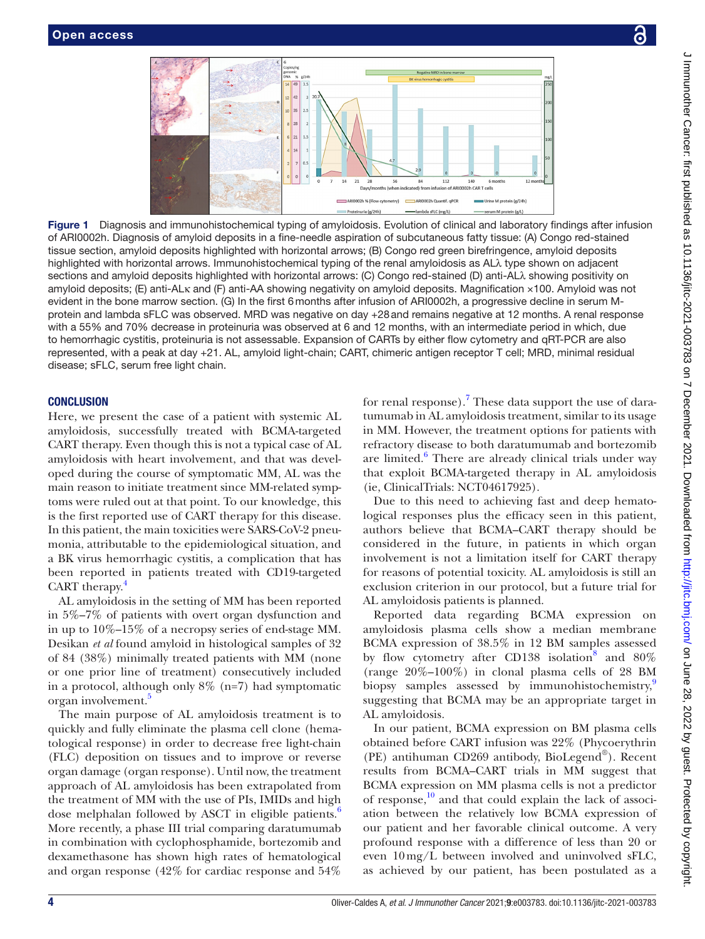<span id="page-3-0"></span>

Figure 1 Diagnosis and immunohistochemical typing of amyloidosis. Evolution of clinical and laboratory findings after infusion of ARI0002h. Diagnosis of amyloid deposits in a fine-needle aspiration of subcutaneous fatty tissue: (A) Congo red-stained tissue section, amyloid deposits highlighted with horizontal arrows; (B) Congo red green birefringence, amyloid deposits highlighted with horizontal arrows. Immunohistochemical typing of the renal amyloidosis as ALλ type shown on adjacent sections and amyloid deposits highlighted with horizontal arrows: (C) Congo red-stained (D) anti-ALλ showing positivity on amyloid deposits; (E) anti-ALκ and (F) anti-AA showing negativity on amyloid deposits. Magnification ×100. Amyloid was not evident in the bone marrow section. (G) In the first 6months after infusion of ARI0002h, a progressive decline in serum Mprotein and lambda sFLC was observed. MRD was negative on day +28and remains negative at 12 months. A renal response with a 55% and 70% decrease in proteinuria was observed at 6 and 12 months, with an intermediate period in which, due to hemorrhagic cystitis, proteinuria is not assessable. Expansion of CARTs by either flow cytometry and qRT-PCR are also represented, with a peak at day +21. AL, amyloid light-chain; CART, chimeric antigen receptor T cell; MRD, minimal residual disease; sFLC, serum free light chain.

# **CONCLUSION**

Here, we present the case of a patient with systemic AL amyloidosis, successfully treated with BCMA-targeted CART therapy. Even though this is not a typical case of AL amyloidosis with heart involvement, and that was developed during the course of symptomatic MM, AL was the main reason to initiate treatment since MM-related symptoms were ruled out at that point. To our knowledge, this is the first reported use of CART therapy for this disease. In this patient, the main toxicities were SARS-CoV-2 pneumonia, attributable to the epidemiological situation, and a BK virus hemorrhagic cystitis, a complication that has been reported in patients treated with CD19-targeted CART therapy. $\frac{4}{3}$  $\frac{4}{3}$  $\frac{4}{3}$ 

AL amyloidosis in the setting of MM has been reported in 5%–7% of patients with overt organ dysfunction and in up to 10%–15% of a necropsy series of end-stage MM. Desikan *et al* found amyloid in histological samples of 32 of 84 (38%) minimally treated patients with MM (none or one prior line of treatment) consecutively included in a protocol, although only  $8\%$  (n=7) had symptomatic organ involvement.<sup>[5](#page-4-4)</sup>

The main purpose of AL amyloidosis treatment is to quickly and fully eliminate the plasma cell clone (hematological response) in order to decrease free light-chain (FLC) deposition on tissues and to improve or reverse organ damage (organ response). Until now, the treatment approach of AL amyloidosis has been extrapolated from the treatment of MM with the use of PIs, IMIDs and high dose melphalan followed by ASCT in eligible patients.<sup>[6](#page-4-5)</sup> More recently, a phase III trial comparing daratumumab in combination with cyclophosphamide, bortezomib and dexamethasone has shown high rates of hematological and organ response (42% for cardiac response and 54%

for renal response).<sup>[7](#page-4-6)</sup> These data support the use of daratumumab in AL amyloidosis treatment, similar to its usage in MM. However, the treatment options for patients with refractory disease to both daratumumab and bortezomib are limited.<sup>[6](#page-4-5)</sup> There are already clinical trials under way that exploit BCMA-targeted therapy in AL amyloidosis (ie, ClinicalTrials: NCT04617925).

Due to this need to achieving fast and deep hematological responses plus the efficacy seen in this patient, authors believe that BCMA–CART therapy should be considered in the future, in patients in which organ involvement is not a limitation itself for CART therapy for reasons of potential toxicity. AL amyloidosis is still an exclusion criterion in our protocol, but a future trial for AL amyloidosis patients is planned.

Reported data regarding BCMA expression on amyloidosis plasma cells show a median membrane BCMA expression of 38.5% in 12 BM samples assessed by flow cytometry after CD13[8](#page-4-7) isolation<sup>8</sup> and  $80\%$ (range 20%–100%) in clonal plasma cells of 28 BM biopsy samples assessed by immunohistochemistry,<sup>[9](#page-4-8)</sup> suggesting that BCMA may be an appropriate target in AL amyloidosis.

In our patient, BCMA expression on BM plasma cells obtained before CART infusion was 22% (Phycoerythrin (PE) antihuman CD269 antibody, BioLegend®). Recent results from BCMA–CART trials in MM suggest that BCMA expression on MM plasma cells is not a predictor of response, $10$  and that could explain the lack of association between the relatively low BCMA expression of our patient and her favorable clinical outcome. A very profound response with a difference of less than 20 or even 10mg/L between involved and uninvolved sFLC, as achieved by our patient, has been postulated as a